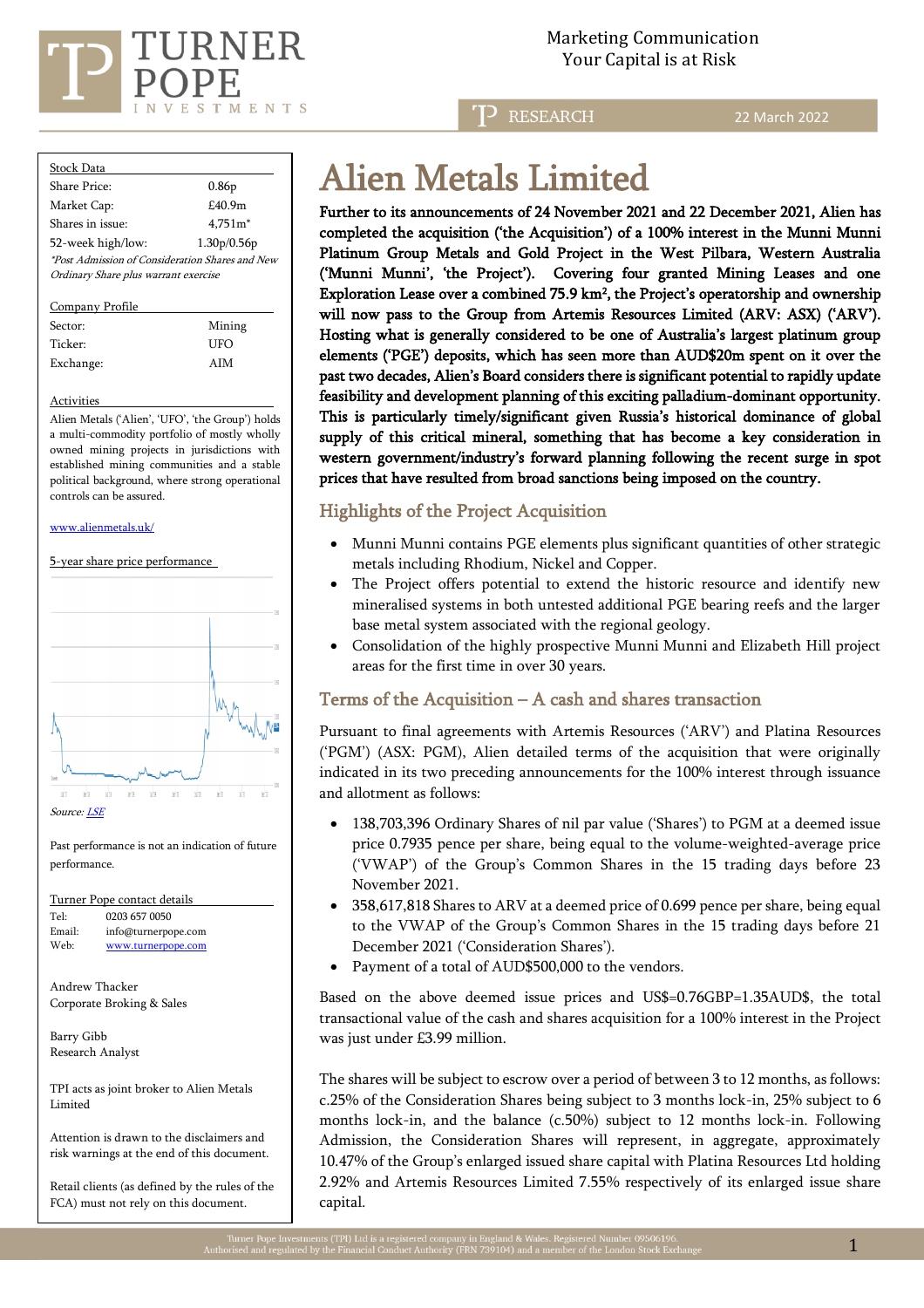

**RESEARCH** 

22 March 2022

| Stock Data                                                                                     |                   |  |  |  |  |  |  |
|------------------------------------------------------------------------------------------------|-------------------|--|--|--|--|--|--|
| Share Price:                                                                                   | 0.86 <sub>p</sub> |  |  |  |  |  |  |
| Market Cap:                                                                                    | £40.9m            |  |  |  |  |  |  |
| Shares in issue:                                                                               | $4.751m*$         |  |  |  |  |  |  |
| 52-week high/low:                                                                              | 1.30p/0.56p       |  |  |  |  |  |  |
| <i>*Post Admission of Consideration Shares and New</i><br>Ordinary Share plus warrant exercise |                   |  |  |  |  |  |  |

Company Profile

| Sector:   | Mining |  |  |  |  |
|-----------|--------|--|--|--|--|
| Ticker:   | UFO    |  |  |  |  |
| Exchange: | AIM    |  |  |  |  |

#### Activities

Alien Metals ('Alien', 'UFO', 'the Group') holds a multi-commodity portfolio of mostly wholly owned mining projects in jurisdictions with established mining communities and a stable political background, where strong operational controls can be assured.

#### [www.alienmetals.uk/](http://www.alienmetals.uk/)





Past performance is not an indication of future performance.

Turner Pope contact details Tel: [0203](tel:0203) 657 0050 Email: [info@turnerpope.com](mailto:info@turnerpope.com) Web: [www.turnerpope.com](http://www.turnerpope.com/)

Andrew Thacker Corporate Broking & Sales

Barry Gibb Research Analyst

TPI acts as joint broker to Alien Metals Limited

Attention is drawn to the disclaimers and risk warnings at the end of this document.

Retail clients (as defined by the rules of the FCA) must not rely on this document.

# Alien Metals Limited

Further to its announcements of 24 November 2021 and 22 December 2021, Alien has completed the acquisition ('the Acquisition') of a 100% interest in the Munni Munni Platinum Group Metals and Gold Project in the West Pilbara, Western Australia ('Munni Munni', 'the Project'). Covering four granted Mining Leases and one Exploration Lease over a combined 75.9 km<sup>2</sup> , the Project's operatorship and ownership will now pass to the Group from Artemis Resources Limited (ARV: ASX) ('ARV'). Hosting what is generally considered to be one of Australia's largest platinum group elements ('PGE') deposits, which has seen more than AUD\$20m spent on it over the past two decades, Alien's Board considers there is significant potential to rapidly update feasibility and development planning of this exciting palladium-dominant opportunity. This is particularly timely/significant given Russia's historical dominance of global supply of this critical mineral, something that has become a key consideration in western government/industry's forward planning following the recent surge in spot prices that have resulted from broad sanctions being imposed on the country.

## Highlights of the Project Acquisition

- Munni Munni contains PGE elements plus significant quantities of other strategic metals including Rhodium, Nickel and Copper.
- The Project offers potential to extend the historic resource and identify new mineralised systems in both untested additional PGE bearing reefs and the larger base metal system associated with the regional geology.
- Consolidation of the highly prospective Munni Munni and Elizabeth Hill project areas for the first time in over 30 years.

## Terms of the Acquisition – A cash and shares transaction

Pursuant to final agreements with Artemis Resources ('ARV') and Platina Resources ('PGM') (ASX: PGM), Alien detailed terms of the acquisition that were originally indicated in its two preceding announcements for the 100% interest through issuance and allotment as follows:

- 138,703,396 Ordinary Shares of nil par value ('Shares') to PGM at a deemed issue price 0.7935 pence per share, being equal to the volume-weighted-average price ('VWAP') of the Group's Common Shares in the 15 trading days before 23 November 2021.
- 358,617,818 Shares to ARV at a deemed price of 0.699 pence per share, being equal to the VWAP of the Group's Common Shares in the 15 trading days before 21 December 2021 ('Consideration Shares').
- Payment of a total of AUD\$500,000 to the vendors.

Based on the above deemed issue prices and US\$=0.76GBP=1.35AUD\$, the total transactional value of the cash and shares acquisition for a 100% interest in the Project was just under £3.99 million.

The shares will be subject to escrow over a period of between 3 to 12 months, as follows: c.25% of the Consideration Shares being subject to 3 months lock-in, 25% subject to 6 months lock-in, and the balance (c.50%) subject to 12 months lock-in. Following Admission, the Consideration Shares will represent, in aggregate, approximately 10.47% of the Group's enlarged issued share capital with Platina Resources Ltd holding 2.92% and Artemis Resources Limited 7.55% respectively of its enlarged issue share capital.

í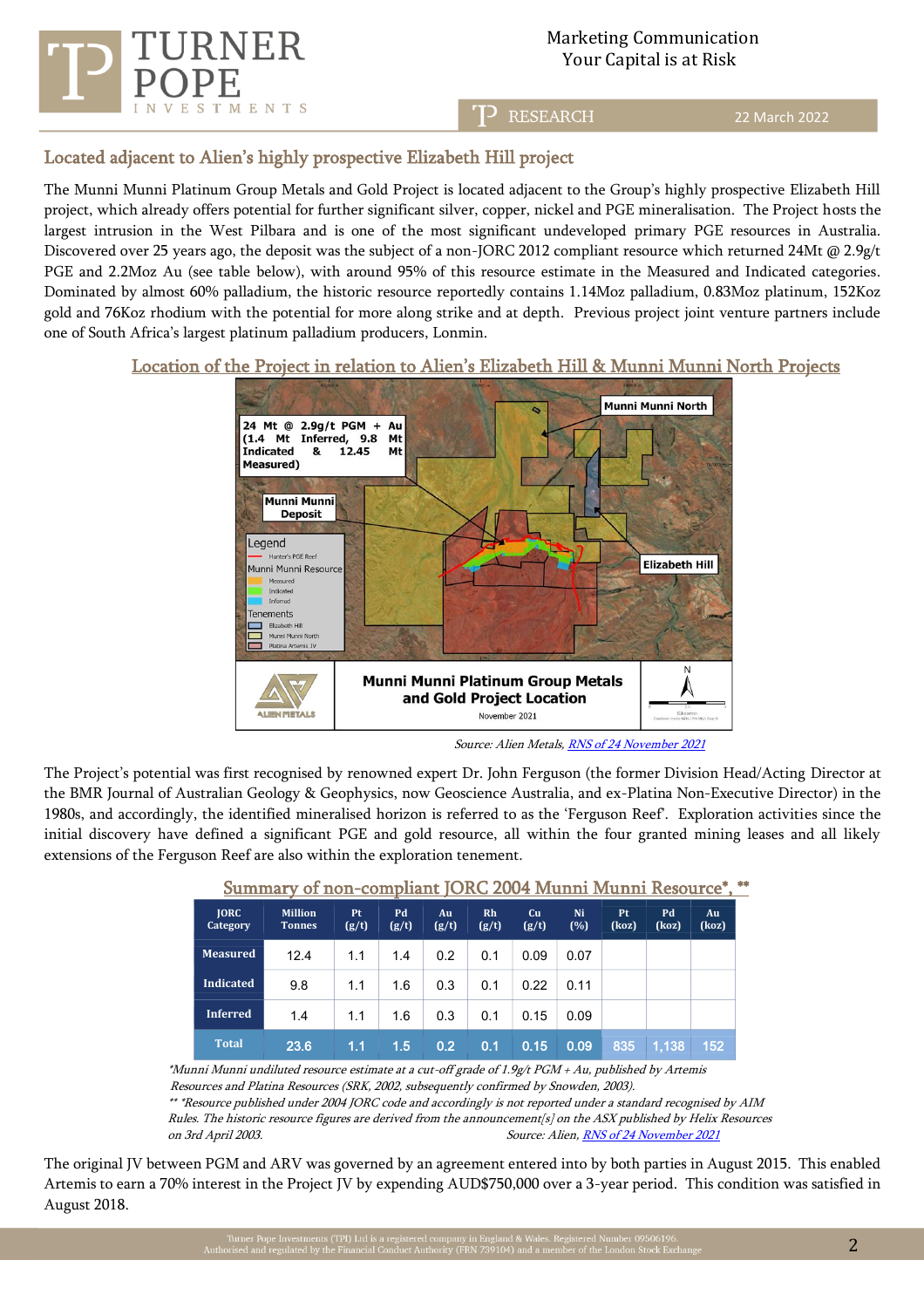

RESEARCH

22 March 2022

# Located adjacent to Alien's highly prospective Elizabeth Hill project

The Munni Munni Platinum Group Metals and Gold Project is located adjacent to the Group's highly prospective Elizabeth Hill project, which already offers potential for further significant silver, copper, nickel and PGE mineralisation. The Project hosts the largest intrusion in the West Pilbara and is one of the most significant undeveloped primary PGE resources in Australia. Discovered over 25 years ago, the deposit was the subject of a non-JORC 2012 compliant resource which returned 24Mt @ 2.9g/t PGE and 2.2Moz Au (see table below), with around 95% of this resource estimate in the Measured and Indicated categories. Dominated by almost 60% palladium, the historic resource reportedly contains 1.14Moz palladium, 0.83Moz platinum, 152Koz gold and 76Koz rhodium with the potential for more along strike and at depth. Previous project joint venture partners include one of South Africa's largest platinum palladium producers, Lonmin.

## Location of the Project in relation to Alien's Elizabeth Hill & Munni Munni North Projects



Source: Alien Metals[, RNS of 24 November 2021](https://www.londonstockexchange.com/news-article/UFO/acquisition-of-30-of-munni-munni-project/15223364)

The Project's potential was first recognised by renowned expert Dr. John Ferguson (the former Division Head/Acting Director at the BMR Journal of Australian Geology & Geophysics, now Geoscience Australia, and ex-Platina Non-Executive Director) in the 1980s, and accordingly, the identified mineralised horizon is referred to as the 'Ferguson Reef'. Exploration activities since the initial discovery have defined a significant PGE and gold resource, all within the four granted mining leases and all likely extensions of the Ferguson Reef are also within the exploration tenement.

| <b>JORC</b><br>Category | <b>Million</b><br><b>Tonnes</b> | <b>Pt</b><br>(g/t) | Pd<br>(g/t) | Au<br>(g/t)      | Rh<br>(g/t) | Cu<br>(g/t) | Ni<br>(%) | <b>Pt</b><br>(koz) | Pd<br>(koz) | Au<br>(koz) |
|-------------------------|---------------------------------|--------------------|-------------|------------------|-------------|-------------|-----------|--------------------|-------------|-------------|
| <b>Measured</b>         | 12.4                            | 1.1                | 1.4         | 0.2              | 0.1         | 0.09        | 0.07      |                    |             |             |
| <b>Indicated</b>        | 9.8                             | 1.1                | 1.6         | 0.3              | 0.1         | 0.22        | 0.11      |                    |             |             |
| <b>Inferred</b>         | 1.4                             | 1.1                | 1.6         | 0.3              | 0.1         | 0.15        | 0.09      |                    |             |             |
| <b>Total</b>            | 23.6                            | 1.1                | 1.5         | 0.2 <sub>2</sub> | 0.1         | 0.15        | 0.09      | 835                | 1.138       | (152)       |

Summary of non-compliant JORC 2004 Munni Munni Resource\*, \*\*

\*Munni Munni undiluted resource estimate at a cut-off grade of 1.9g/t PGM + Au, published by Artemis Resources and Platina Resources (SRK, 2002, subsequently confirmed by Snowden, 2003).

\*\* \*Resource published under 2004 JORC code and accordingly is not reported under a standard recognised by AIM Rules. The historic resource figures are derived from the announcement[s] on the ASX published by Helix Resources on 3rd April 2003. Source: Alien, [RNS of 24 November 2021](https://www.londonstockexchange.com/news-article/UFO/acquisition-of-30-of-munni-munni-project/15223364)

The original JV between PGM and ARV was governed by an agreement entered into by both parties in August 2015. This enabled Artemis to earn a 70% interest in the Project JV by expending AUD\$750,000 over a 3-year period. This condition was satisfied in August 2018.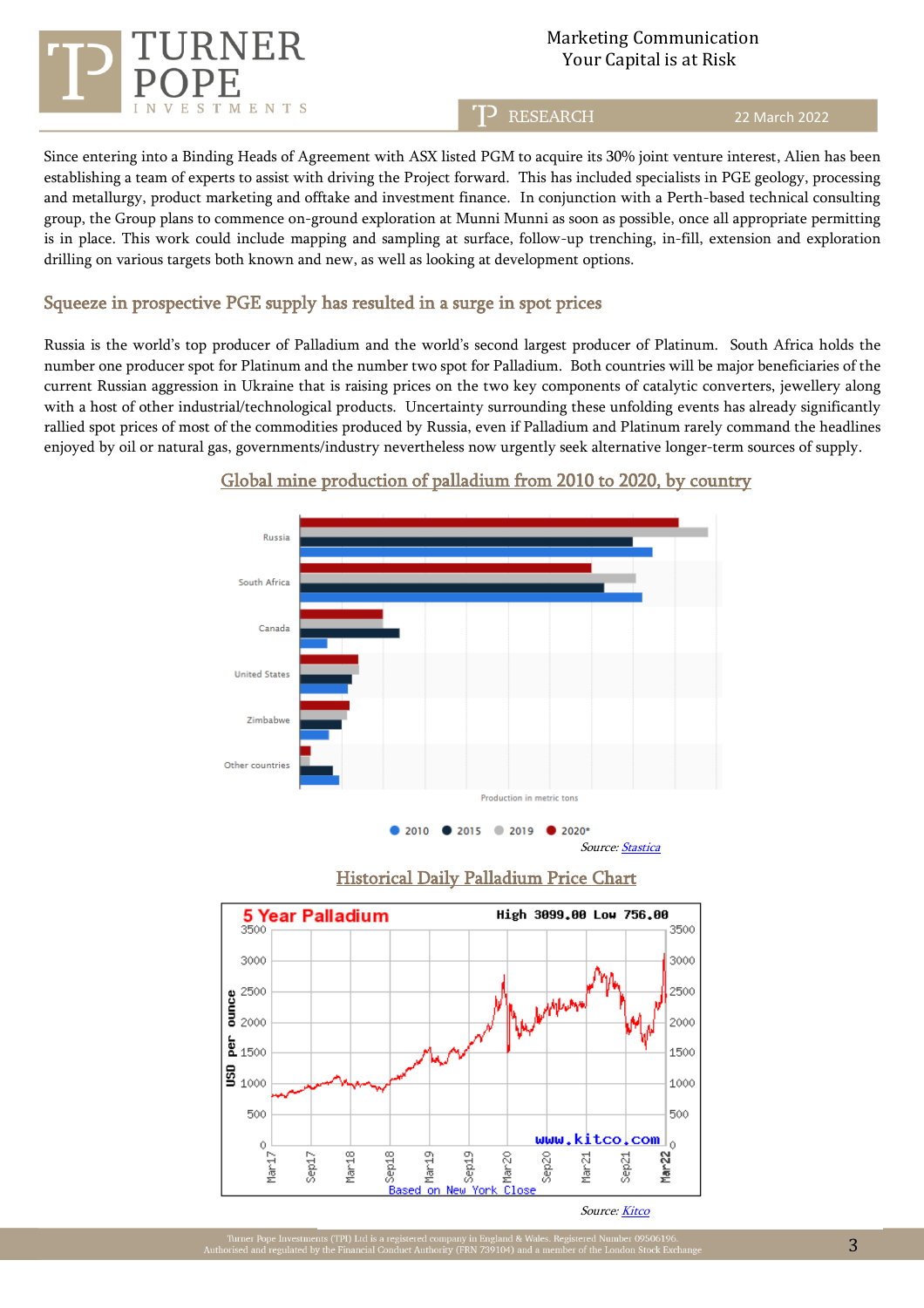

T<sub>2</sub> RESEARCH

#### 22 March 2022

Since entering into a Binding Heads of Agreement with ASX listed PGM to acquire its 30% joint venture interest, Alien has been establishing a team of experts to assist with driving the Project forward. This has included specialists in PGE geology, processing and metallurgy, product marketing and offtake and investment finance. In conjunction with a Perth-based technical consulting group, the Group plans to commence on-ground exploration at Munni Munni as soon as possible, once all appropriate permitting is in place. This work could include mapping and sampling at surface, follow-up trenching, in-fill, extension and exploration drilling on various targets both known and new, as well as looking at development options.

## Squeeze in prospective PGE supply has resulted in a surge in spot prices

Russia is the world's top producer of Palladium and the world's second largest producer of Platinum. South Africa holds the number one producer spot for Platinum and the number two spot for Palladium. Both countries will be major beneficiaries of the current Russian aggression in Ukraine that is raising prices on the two key components of catalytic converters, jewellery along with a host of other industrial/technological products. Uncertainty surrounding these unfolding events has already significantly rallied spot prices of most of the commodities produced by Russia, even if Palladium and Platinum rarely command the headlines enjoyed by oil or natural gas, governments/industry nevertheless now urgently seek alternative longer-term sources of supply.



### Global mine production of palladium from 2010 to 2020, by country





Source[: Kitco](https://www.kitco.com/charts/livepalladium.html)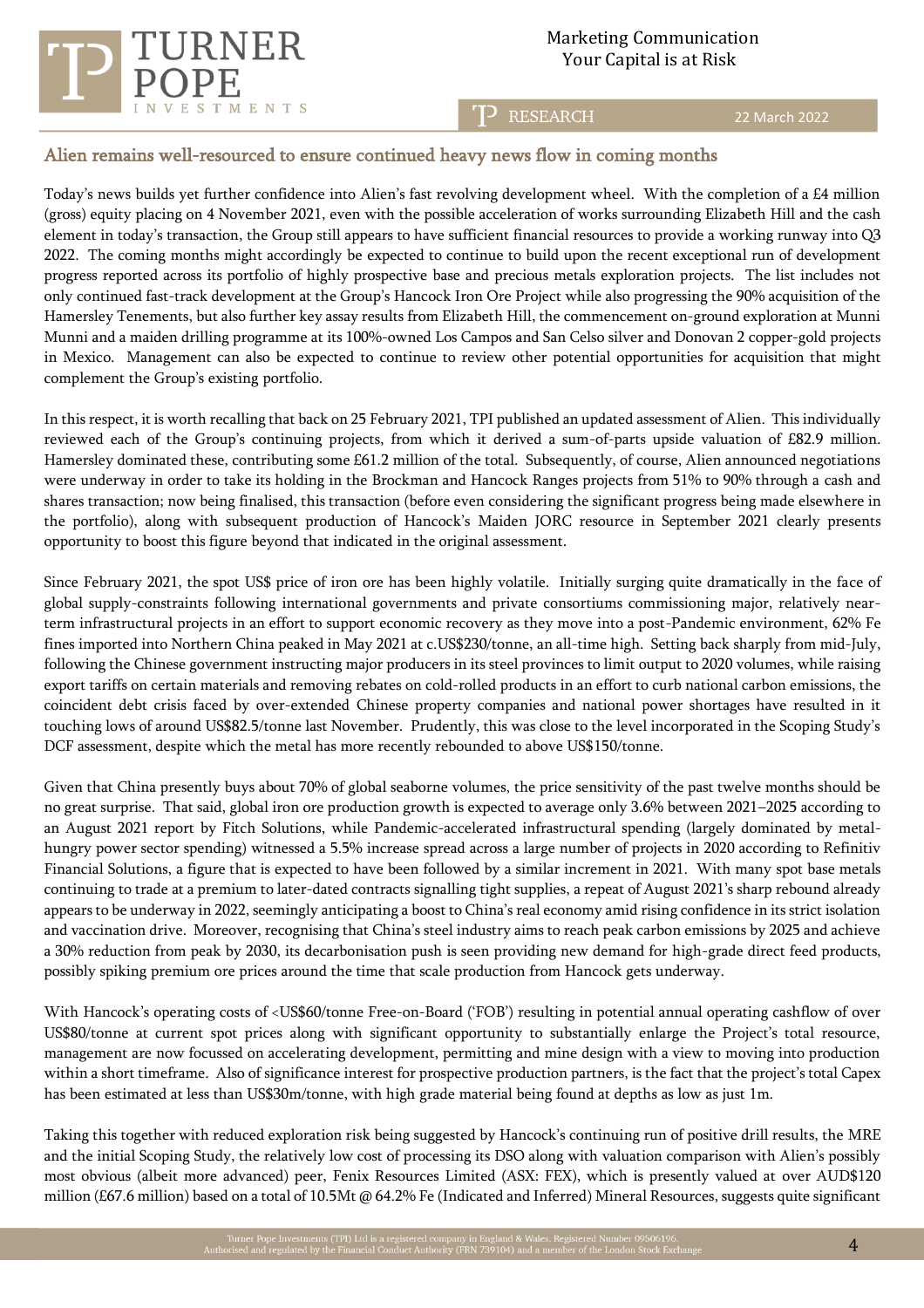



### T<sup>2</sup> RESEARCH

22 March 2022

## Alien remains well-resourced to ensure continued heavy news flow in coming months

Today's news builds yet further confidence into Alien's fast revolving development wheel. With the completion of a £4 million (gross) equity placing on 4 November 2021, even with the possible acceleration of works surrounding Elizabeth Hill and the cash element in today's transaction, the Group still appears to have sufficient financial resources to provide a working runway into Q3 2022. The coming months might accordingly be expected to continue to build upon the recent exceptional run of development progress reported across its portfolio of highly prospective base and precious metals exploration projects. The list includes not only continued fast-track development at the Group's Hancock Iron Ore Project while also progressing the 90% acquisition of the Hamersley Tenements, but also further key assay results from Elizabeth Hill, the commencement on-ground exploration at Munni Munni and a maiden drilling programme at its 100%-owned Los Campos and San Celso silver and Donovan 2 copper-gold projects in Mexico. Management can also be expected to continue to review other potential opportunities for acquisition that might complement the Group's existing portfolio.

In this respect, it is worth recalling that back on 25 February 2021, TPI published an updated assessment of Alien. This individually reviewed each of the Group's continuing projects, from which it derived a sum-of-parts upside valuation of £82.9 million. Hamersley dominated these, contributing some £61.2 million of the total. Subsequently, of course, Alien announced negotiations were underway in order to take its holding in the Brockman and Hancock Ranges projects from 51% to 90% through a cash and shares transaction; now being finalised, this transaction (before even considering the significant progress being made elsewhere in the portfolio), along with subsequent production of Hancock's Maiden JORC resource in September 2021 clearly presents opportunity to boost this figure beyond that indicated in the original assessment.

Since February 2021, the spot US\$ price of iron ore has been highly volatile. Initially surging quite dramatically in the face of global supply-constraints following international governments and private consortiums commissioning major, relatively nearterm infrastructural projects in an effort to support economic recovery as they move into a post-Pandemic environment, 62% Fe fines imported into Northern China peaked in May 2021 at c.US\$230/tonne, an all-time high. Setting back sharply from mid-July, following the Chinese government instructing major producers in its steel provinces to limit output to 2020 volumes, while raising export tariffs on certain materials and removing rebates on cold-rolled products in an effort to curb national carbon emissions, the coincident debt crisis faced by over-extended Chinese property companies and national power shortages have resulted in it touching lows of around US\$82.5/tonne last November. Prudently, this was close to the level incorporated in the Scoping Study's DCF assessment, despite which the metal has more recently rebounded to above US\$150/tonne.

Given that China presently buys about 70% of global seaborne volumes, the price sensitivity of the past twelve months should be no great surprise. That said, global iron ore production growth is expected to average only 3.6% between 2021–2025 according to an August 2021 report by Fitch Solutions, while Pandemic-accelerated infrastructural spending (largely dominated by metalhungry power sector spending) witnessed a 5.5% increase spread across a large number of projects in 2020 according to Refinitiv Financial Solutions, a figure that is expected to have been followed by a similar increment in 2021. With many spot base metals continuing to trade at a premium to later-dated contracts signalling tight supplies, a repeat of August 2021's sharp rebound already appears to be underway in 2022, seemingly anticipating a boost to China's real economy amid rising confidence in its strict isolation and vaccination drive. Moreover, recognising that China's steel industry aims to reach peak carbon emissions by 2025 and achieve a 30% reduction from peak by 2030, its decarbonisation push is seen providing new demand for high-grade direct feed products, possibly spiking premium ore prices around the time that scale production from Hancock gets underway.

With Hancock's operating costs of <US\$60/tonne Free-on-Board ('FOB') resulting in potential annual operating cashflow of over US\$80/tonne at current spot prices along with significant opportunity to substantially enlarge the Project's total resource, management are now focussed on accelerating development, permitting and mine design with a view to moving into production within a short timeframe. Also of significance interest for prospective production partners, is the fact that the project's total Capex has been estimated at less than US\$30m/tonne, with high grade material being found at depths as low as just 1m.

Taking this together with reduced exploration risk being suggested by Hancock's continuing run of positive drill results, the MRE and the initial Scoping Study, the relatively low cost of processing its DSO along with valuation comparison with Alien's possibly most obvious (albeit more advanced) peer, Fenix Resources Limited (ASX: FEX), which is presently valued at over AUD\$120 million (£67.6 million) based on a total of 10.5Mt @ 64.2% Fe (Indicated and Inferred) Mineral Resources, suggests quite significant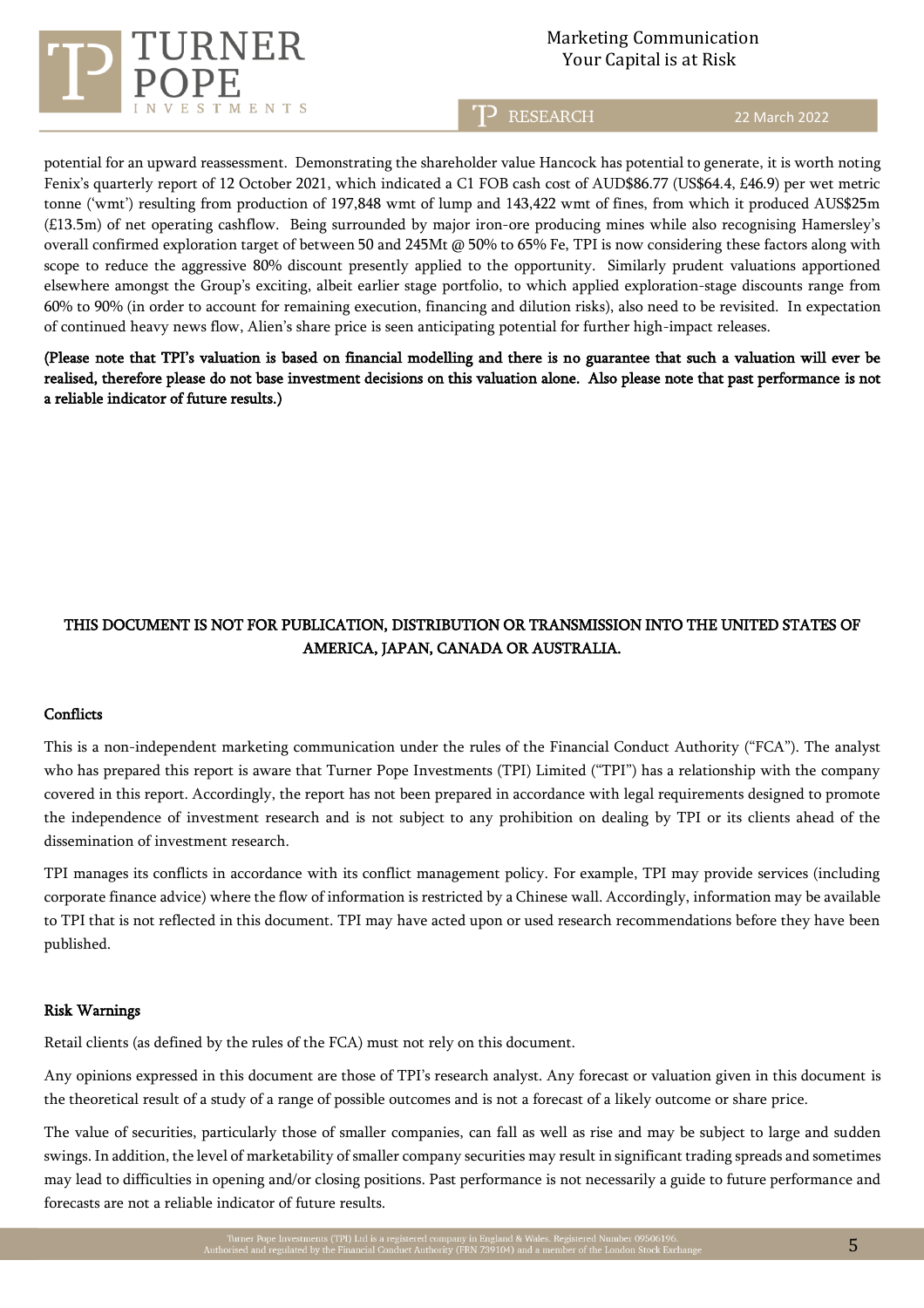

TP RESEARCH

22 March 2022

potential for an upward reassessment. Demonstrating the shareholder value Hancock has potential to generate, it is worth noting Fenix's quarterly report of 12 October 2021, which indicated a C1 FOB cash cost of AUD\$86.77 (US\$64.4, £46.9) per wet metric tonne ('wmt') resulting from production of 197,848 wmt of lump and 143,422 wmt of fines, from which it produced AUS\$25m (£13.5m) of net operating cashflow. Being surrounded by major iron-ore producing mines while also recognising Hamersley's overall confirmed exploration target of between 50 and 245Mt @ 50% to 65% Fe, TPI is now considering these factors along with scope to reduce the aggressive 80% discount presently applied to the opportunity. Similarly prudent valuations apportioned elsewhere amongst the Group's exciting, albeit earlier stage portfolio, to which applied exploration-stage discounts range from 60% to 90% (in order to account for remaining execution, financing and dilution risks), also need to be revisited. In expectation of continued heavy news flow, Alien's share price is seen anticipating potential for further high-impact releases.

(Please note that TPI's valuation is based on financial modelling and there is no guarantee that such a valuation will ever be realised, therefore please do not base investment decisions on this valuation alone. Also please note that past performance is not a reliable indicator of future results.)

# THIS DOCUMENT IS NOT FOR PUBLICATION, DISTRIBUTION OR TRANSMISSION INTO THE UNITED STATES OF AMERICA, JAPAN, CANADA OR AUSTRALIA.

#### **Conflicts**

This is a non-independent marketing communication under the rules of the Financial Conduct Authority ("FCA"). The analyst who has prepared this report is aware that Turner Pope Investments (TPI) Limited ("TPI") has a relationship with the company covered in this report. Accordingly, the report has not been prepared in accordance with legal requirements designed to promote the independence of investment research and is not subject to any prohibition on dealing by TPI or its clients ahead of the dissemination of investment research.

TPI manages its conflicts in accordance with its conflict management policy. For example, TPI may provide services (including corporate finance advice) where the flow of information is restricted by a Chinese wall. Accordingly, information may be available to TPI that is not reflected in this document. TPI may have acted upon or used research recommendations before they have been published.

#### Risk Warnings

Retail clients (as defined by the rules of the FCA) must not rely on this document.

Any opinions expressed in this document are those of TPI's research analyst. Any forecast or valuation given in this document is the theoretical result of a study of a range of possible outcomes and is not a forecast of a likely outcome or share price.

The value of securities, particularly those of smaller companies, can fall as well as rise and may be subject to large and sudden swings. In addition, the level of marketability of smaller company securities may result in significant trading spreads and sometimes may lead to difficulties in opening and/or closing positions. Past performance is not necessarily a guide to future performance and forecasts are not a reliable indicator of future results.